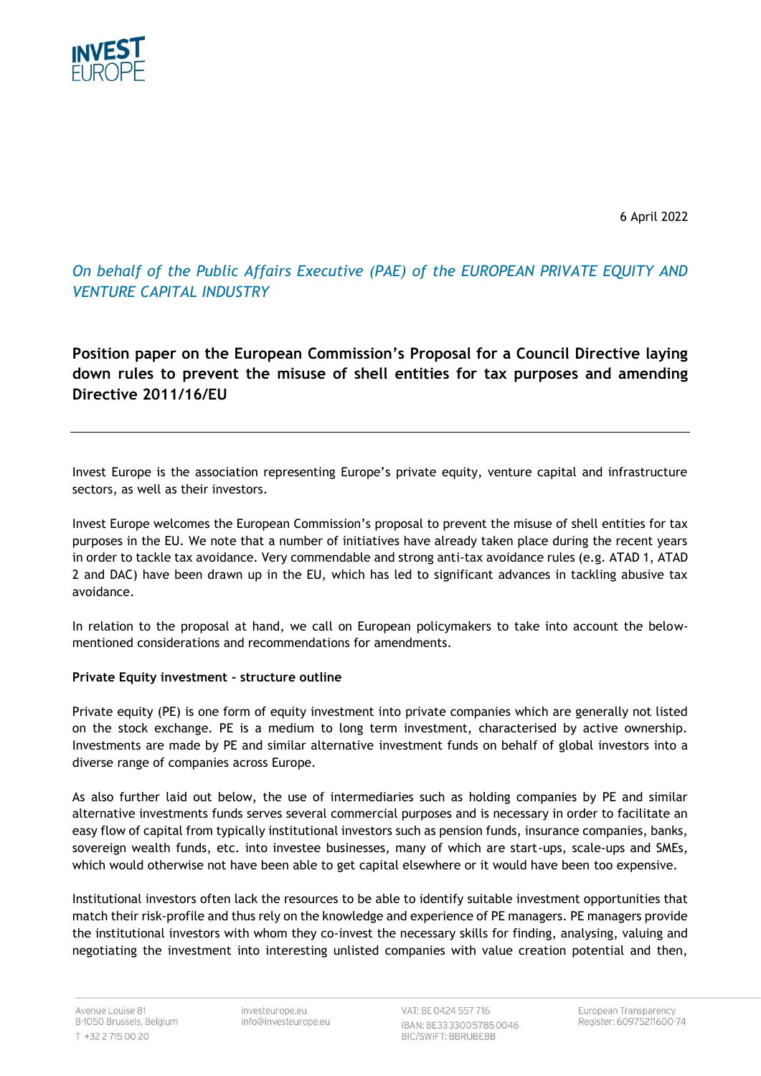

6 April 2022

*On behalf of the Public Affairs Executive (PAE) of the EUROPEAN PRIVATE EQUITY AND VENTURE CAPITAL INDUSTRY*

**Position paper on the European Commission's Proposal for a Council Directive laying down rules to prevent the misuse of shell entities for tax purposes and amending Directive 2011/16/EU**

Invest Europe is the association representing Europe's private equity, venture capital and infrastructure sectors, as well as their investors.

Invest Europe welcomes the European Commission's proposal to prevent the misuse of shell entities for tax purposes in the EU. We note that a number of initiatives have already taken place during the recent years in order to tackle tax avoidance. Very commendable and strong anti-tax avoidance rules (e.g. ATAD 1, ATAD 2 and DAC) have been drawn up in the EU, which has led to significant advances in tackling abusive tax avoidance.

In relation to the proposal at hand, we call on European policymakers to take into account the belowmentioned considerations and recommendations for amendments.

### **Private Equity investment - structure outline**

Private equity (PE) is one form of equity investment into private companies which are generally not listed on the stock exchange. PE is a medium to long term investment, characterised by active ownership. Investments are made by PE and similar alternative investment funds on behalf of global investors into a diverse range of companies across Europe.

As also further laid out below, the use of intermediaries such as holding companies by PE and similar alternative investments funds serves several commercial purposes and is necessary in order to facilitate an easy flow of capital from typically institutional investors such as pension funds, insurance companies, banks, sovereign wealth funds, etc. into investee businesses, many of which are start-ups, scale-ups and SMEs, which would otherwise not have been able to get capital elsewhere or it would have been too expensive.

Institutional investors often lack the resources to be able to identify suitable investment opportunities that match their risk-profile and thus rely on the knowledge and experience of PE managers. PE managers provide the institutional investors with whom they co-invest the necessary skills for finding, analysing, valuing and negotiating the investment into interesting unlisted companies with value creation potential and then,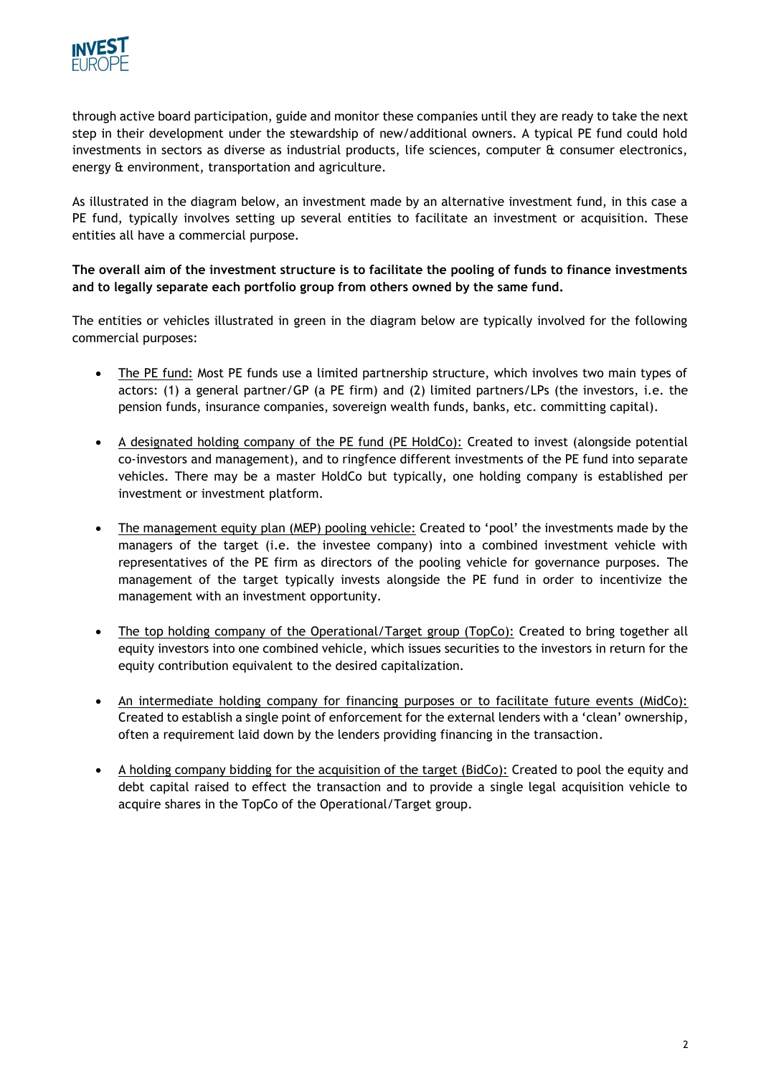

through active board participation, guide and monitor these companies until they are ready to take the next step in their development under the stewardship of new/additional owners. A typical PE fund could hold investments in sectors as diverse as industrial products, life sciences, computer & consumer electronics, energy & environment, transportation and agriculture.

As illustrated in the diagram below, an investment made by an alternative investment fund, in this case a PE fund, typically involves setting up several entities to facilitate an investment or acquisition. These entities all have a commercial purpose.

## **The overall aim of the investment structure is to facilitate the pooling of funds to finance investments and to legally separate each portfolio group from others owned by the same fund.**

The entities or vehicles illustrated in green in the diagram below are typically involved for the following commercial purposes:

- The PE fund: Most PE funds use a limited partnership structure, which involves two main types of actors: (1) a general partner/GP (a PE firm) and (2) limited partners/LPs (the investors, i.e. the pension funds, insurance companies, sovereign wealth funds, banks, etc. committing capital).
- A designated holding company of the PE fund (PE HoldCo): Created to invest (alongside potential co-investors and management), and to ringfence different investments of the PE fund into separate vehicles. There may be a master HoldCo but typically, one holding company is established per investment or investment platform.
- The management equity plan (MEP) pooling vehicle: Created to 'pool' the investments made by the managers of the target (i.e. the investee company) into a combined investment vehicle with representatives of the PE firm as directors of the pooling vehicle for governance purposes. The management of the target typically invests alongside the PE fund in order to incentivize the management with an investment opportunity.
- The top holding company of the Operational/Target group (TopCo): Created to bring together all equity investors into one combined vehicle, which issues securities to the investors in return for the equity contribution equivalent to the desired capitalization.
- An intermediate holding company for financing purposes or to facilitate future events (MidCo): Created to establish a single point of enforcement for the external lenders with a 'clean' ownership, often a requirement laid down by the lenders providing financing in the transaction.
- A holding company bidding for the acquisition of the target (BidCo): Created to pool the equity and debt capital raised to effect the transaction and to provide a single legal acquisition vehicle to acquire shares in the TopCo of the Operational/Target group.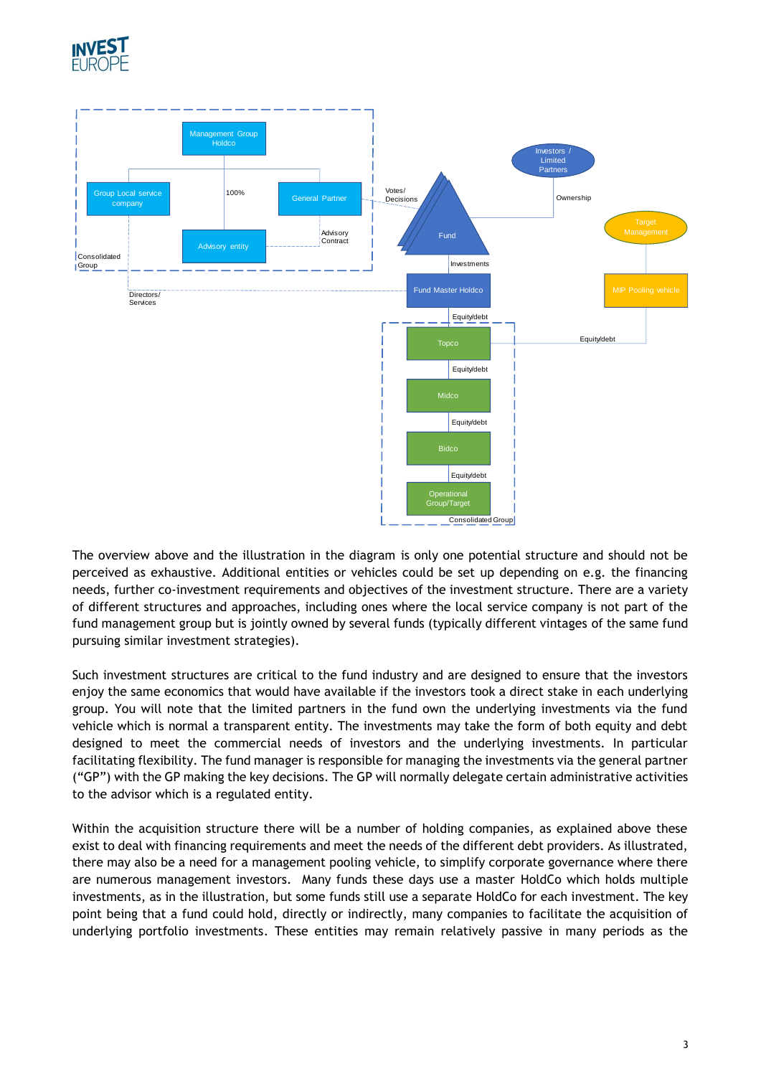



The overview above and the illustration in the diagram is only one potential structure and should not be perceived as exhaustive. Additional entities or vehicles could be set up depending on e.g. the financing needs, further co-investment requirements and objectives of the investment structure. There are a variety of different structures and approaches, including ones where the local service company is not part of the fund management group but is jointly owned by several funds (typically different vintages of the same fund pursuing similar investment strategies).

Such investment structures are critical to the fund industry and are designed to ensure that the investors enjoy the same economics that would have available if the investors took a direct stake in each underlying group. You will note that the limited partners in the fund own the underlying investments via the fund vehicle which is normal a transparent entity. The investments may take the form of both equity and debt designed to meet the commercial needs of investors and the underlying investments. In particular facilitating flexibility. The fund manager is responsible for managing the investments via the general partner ("GP") with the GP making the key decisions. The GP will normally delegate certain administrative activities to the advisor which is a regulated entity.

Within the acquisition structure there will be a number of holding companies, as explained above these exist to deal with financing requirements and meet the needs of the different debt providers. As illustrated, there may also be a need for a management pooling vehicle, to simplify corporate governance where there are numerous management investors. Many funds these days use a master HoldCo which holds multiple investments, as in the illustration, but some funds still use a separate HoldCo for each investment. The key point being that a fund could hold, directly or indirectly, many companies to facilitate the acquisition of underlying portfolio investments. These entities may remain relatively passive in many periods as the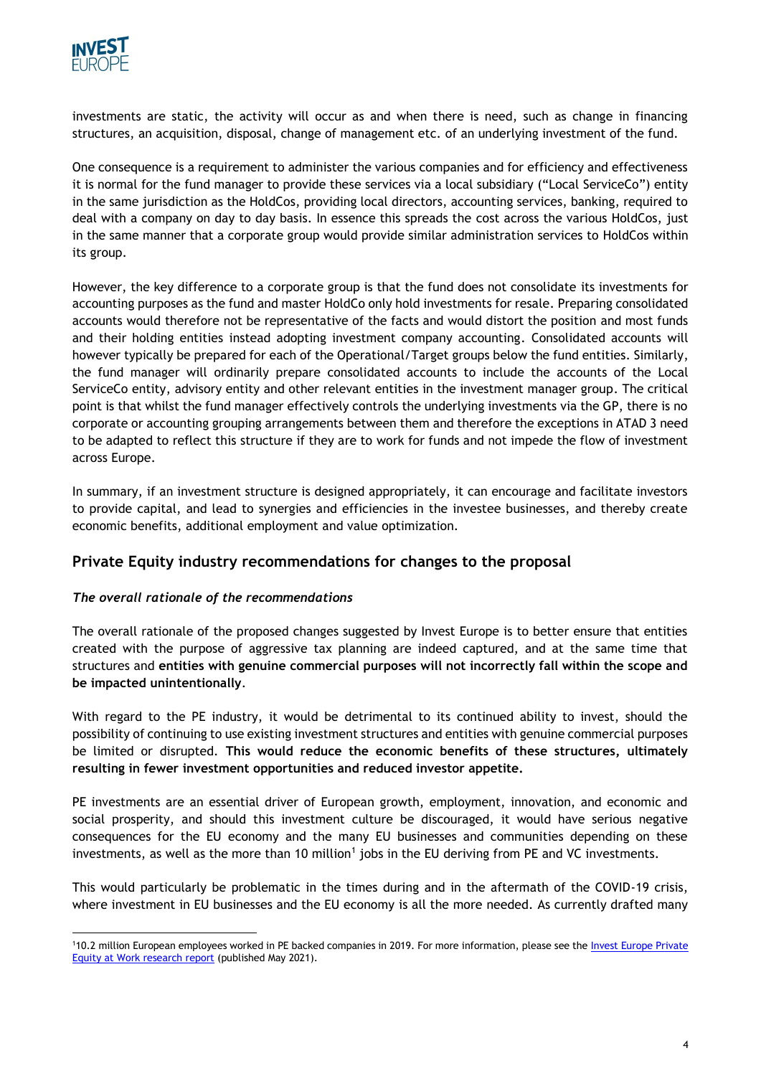

investments are static, the activity will occur as and when there is need, such as change in financing structures, an acquisition, disposal, change of management etc. of an underlying investment of the fund.

One consequence is a requirement to administer the various companies and for efficiency and effectiveness it is normal for the fund manager to provide these services via a local subsidiary ("Local ServiceCo") entity in the same jurisdiction as the HoldCos, providing local directors, accounting services, banking, required to deal with a company on day to day basis. In essence this spreads the cost across the various HoldCos, just in the same manner that a corporate group would provide similar administration services to HoldCos within its group.

However, the key difference to a corporate group is that the fund does not consolidate its investments for accounting purposes as the fund and master HoldCo only hold investments for resale. Preparing consolidated accounts would therefore not be representative of the facts and would distort the position and most funds and their holding entities instead adopting investment company accounting. Consolidated accounts will however typically be prepared for each of the Operational/Target groups below the fund entities. Similarly, the fund manager will ordinarily prepare consolidated accounts to include the accounts of the Local ServiceCo entity, advisory entity and other relevant entities in the investment manager group. The critical point is that whilst the fund manager effectively controls the underlying investments via the GP, there is no corporate or accounting grouping arrangements between them and therefore the exceptions in ATAD 3 need to be adapted to reflect this structure if they are to work for funds and not impede the flow of investment across Europe.

In summary, if an investment structure is designed appropriately, it can encourage and facilitate investors to provide capital, and lead to synergies and efficiencies in the investee businesses, and thereby create economic benefits, additional employment and value optimization.

# **Private Equity industry recommendations for changes to the proposal**

# *The overall rationale of the recommendations*

The overall rationale of the proposed changes suggested by Invest Europe is to better ensure that entities created with the purpose of aggressive tax planning are indeed captured, and at the same time that structures and **entities with genuine commercial purposes will not incorrectly fall within the scope and be impacted unintentionally**.

With regard to the PE industry, it would be detrimental to its continued ability to invest, should the possibility of continuing to use existing investment structures and entities with genuine commercial purposes be limited or disrupted. **This would reduce the economic benefits of these structures, ultimately resulting in fewer investment opportunities and reduced investor appetite.**

PE investments are an essential driver of European growth, employment, innovation, and economic and social prosperity, and should this investment culture be discouraged, it would have serious negative consequences for the EU economy and the many EU businesses and communities depending on these investments, as well as the more than 10 million<sup>1</sup> jobs in the EU deriving from PE and VC investments.

This would particularly be problematic in the times during and in the aftermath of the COVID-19 crisis, where investment in EU businesses and the EU economy is all the more needed. As currently drafted many

<sup>1</sup>10.2 million European employees worked in PE backed companies in 2019. For more information, please see the [Invest Europe Private](http://www.investeurope.eu/media/3948/100544_ie_pe_at-work_report_online_210601.pdf)  [Equity at Work research](http://www.investeurope.eu/media/3948/100544_ie_pe_at-work_report_online_210601.pdf) report (published May 2021).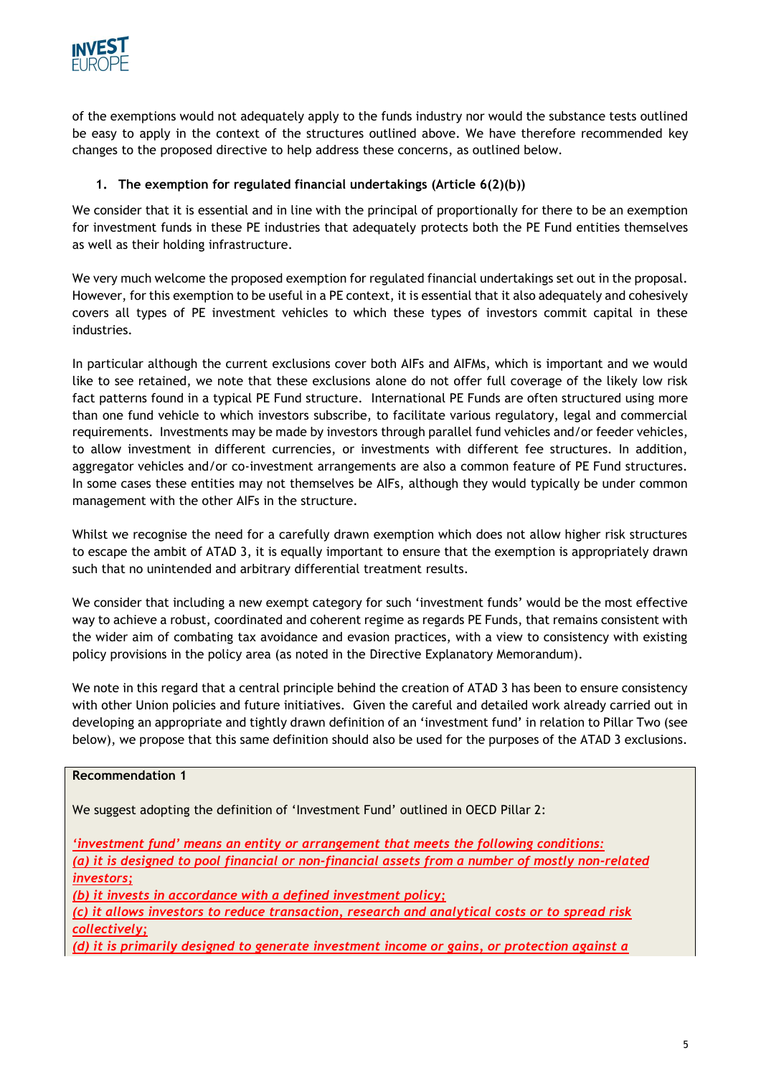

of the exemptions would not adequately apply to the funds industry nor would the substance tests outlined be easy to apply in the context of the structures outlined above. We have therefore recommended key changes to the proposed directive to help address these concerns, as outlined below.

# **1. The exemption for regulated financial undertakings (Article 6(2)(b))**

We consider that it is essential and in line with the principal of proportionally for there to be an exemption for investment funds in these PE industries that adequately protects both the PE Fund entities themselves as well as their holding infrastructure.

We very much welcome the proposed exemption for regulated financial undertakings set out in the proposal. However, for this exemption to be useful in a PE context, it is essential that it also adequately and cohesively covers all types of PE investment vehicles to which these types of investors commit capital in these industries.

In particular although the current exclusions cover both AIFs and AIFMs, which is important and we would like to see retained, we note that these exclusions alone do not offer full coverage of the likely low risk fact patterns found in a typical PE Fund structure. International PE Funds are often structured using more than one fund vehicle to which investors subscribe, to facilitate various regulatory, legal and commercial requirements. Investments may be made by investors through parallel fund vehicles and/or feeder vehicles, to allow investment in different currencies, or investments with different fee structures. In addition, aggregator vehicles and/or co-investment arrangements are also a common feature of PE Fund structures. In some cases these entities may not themselves be AIFs, although they would typically be under common management with the other AIFs in the structure.

Whilst we recognise the need for a carefully drawn exemption which does not allow higher risk structures to escape the ambit of ATAD 3, it is equally important to ensure that the exemption is appropriately drawn such that no unintended and arbitrary differential treatment results.

We consider that including a new exempt category for such 'investment funds' would be the most effective way to achieve a robust, coordinated and coherent regime as regards PE Funds, that remains consistent with the wider aim of combating tax avoidance and evasion practices, with a view to consistency with existing policy provisions in the policy area (as noted in the Directive Explanatory Memorandum).

We note in this regard that a central principle behind the creation of ATAD 3 has been to ensure consistency with other Union policies and future initiatives. Given the careful and detailed work already carried out in developing an appropriate and tightly drawn definition of an 'investment fund' in relation to Pillar Two (see below), we propose that this same definition should also be used for the purposes of the ATAD 3 exclusions.

| <b>Recommendation 1</b>                                                                                                                                                                   |
|-------------------------------------------------------------------------------------------------------------------------------------------------------------------------------------------|
| We suggest adopting the definition of 'Investment Fund' outlined in OECD Pillar 2:                                                                                                        |
| 'investment fund' means an entity or arrangement that meets the following conditions:<br>(a) it is designed to pool financial or non-financial assets from a number of mostly non-related |
| <i>investors;</i>                                                                                                                                                                         |
| (b) it invests in accordance with a defined investment policy;                                                                                                                            |
| (c) it allows investors to reduce transaction, research and analytical costs or to spread risk                                                                                            |
| collectively;                                                                                                                                                                             |
| (d) it is primarily designed to generate investment income or gains, or protection against a                                                                                              |
|                                                                                                                                                                                           |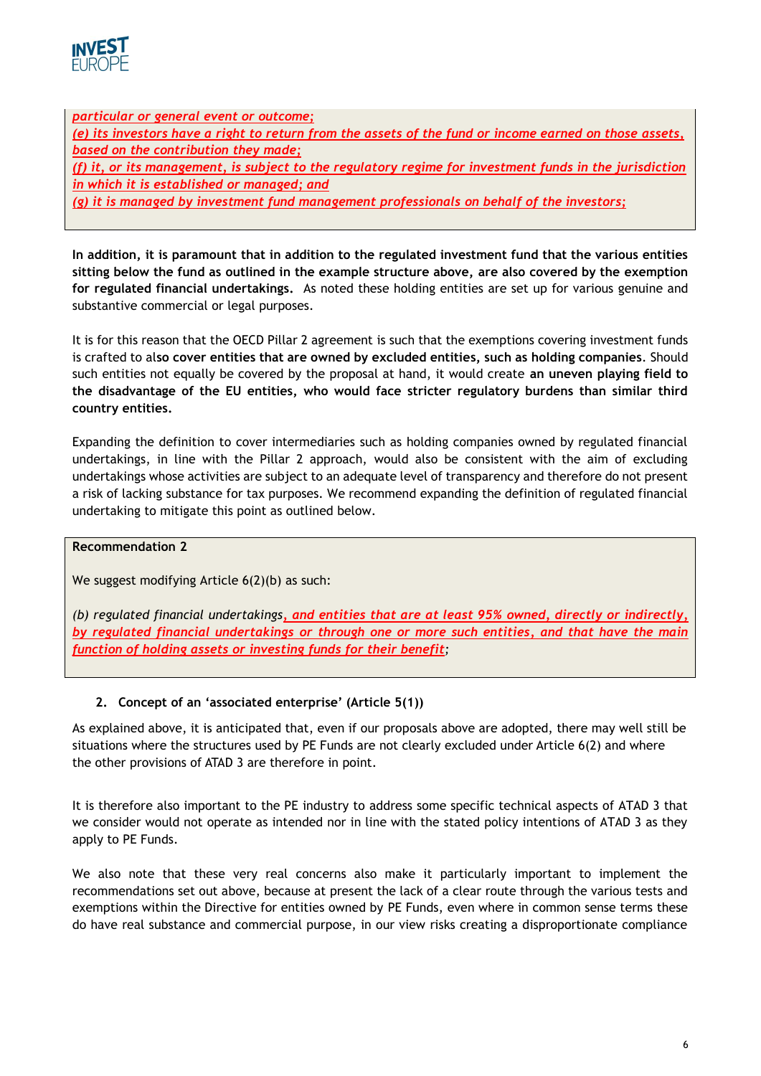

*particular or general event or outcome; (e) its investors have a right to return from the assets of the fund or income earned on those assets, based on the contribution they made; (f) it, or its management, is subject to the regulatory regime for investment funds in the jurisdiction in which it is established or managed; and (g) it is managed by investment fund management professionals on behalf of the investors;*

**In addition, it is paramount that in addition to the regulated investment fund that the various entities sitting below the fund as outlined in the example structure above, are also covered by the exemption for regulated financial undertakings.** As noted these holding entities are set up for various genuine and substantive commercial or legal purposes.

It is for this reason that the OECD Pillar 2 agreement is such that the exemptions covering investment funds is crafted to al**so cover entities that are owned by excluded entities, such as holding companies**. Should such entities not equally be covered by the proposal at hand, it would create **an uneven playing field to the disadvantage of the EU entities, who would face stricter regulatory burdens than similar third country entities.**

Expanding the definition to cover intermediaries such as holding companies owned by regulated financial undertakings, in line with the Pillar 2 approach, would also be consistent with the aim of excluding undertakings whose activities are subject to an adequate level of transparency and therefore do not present a risk of lacking substance for tax purposes. We recommend expanding the definition of regulated financial undertaking to mitigate this point as outlined below.

### **Recommendation 2**

We suggest modifying Article 6(2)(b) as such:

*(b) regulated financial undertakings, and entities that are at least 95% owned, directly or indirectly, by regulated financial undertakings or through one or more such entities, and that have the main function of holding assets or investing funds for their benefit;*

# **2. Concept of an 'associated enterprise' (Article 5(1))**

As explained above, it is anticipated that, even if our proposals above are adopted, there may well still be situations where the structures used by PE Funds are not clearly excluded under Article 6(2) and where the other provisions of ATAD 3 are therefore in point.

It is therefore also important to the PE industry to address some specific technical aspects of ATAD 3 that we consider would not operate as intended nor in line with the stated policy intentions of ATAD 3 as they apply to PE Funds.

We also note that these very real concerns also make it particularly important to implement the recommendations set out above, because at present the lack of a clear route through the various tests and exemptions within the Directive for entities owned by PE Funds, even where in common sense terms these do have real substance and commercial purpose, in our view risks creating a disproportionate compliance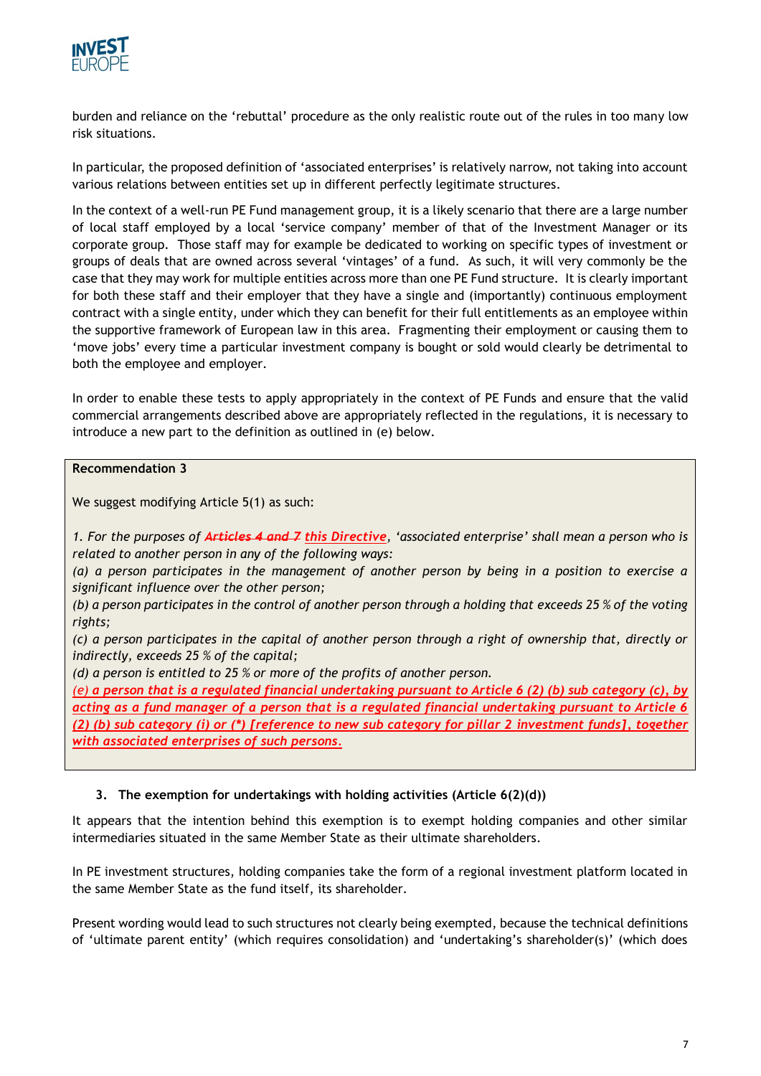

burden and reliance on the 'rebuttal' procedure as the only realistic route out of the rules in too many low risk situations.

In particular, the proposed definition of 'associated enterprises' is relatively narrow, not taking into account various relations between entities set up in different perfectly legitimate structures.

In the context of a well-run PE Fund management group, it is a likely scenario that there are a large number of local staff employed by a local 'service company' member of that of the Investment Manager or its corporate group. Those staff may for example be dedicated to working on specific types of investment or groups of deals that are owned across several 'vintages' of a fund. As such, it will very commonly be the case that they may work for multiple entities across more than one PE Fund structure. It is clearly important for both these staff and their employer that they have a single and (importantly) continuous employment contract with a single entity, under which they can benefit for their full entitlements as an employee within the supportive framework of European law in this area. Fragmenting their employment or causing them to 'move jobs' every time a particular investment company is bought or sold would clearly be detrimental to both the employee and employer.

In order to enable these tests to apply appropriately in the context of PE Funds and ensure that the valid commercial arrangements described above are appropriately reflected in the regulations, it is necessary to introduce a new part to the definition as outlined in (e) below.

**Recommendation 3**

We suggest modifying Article 5(1) as such:

*1. For the purposes of Articles 4 and 7 this Directive, 'associated enterprise' shall mean a person who is related to another person in any of the following ways:*

*(a) a person participates in the management of another person by being in a position to exercise a significant influence over the other person;*

*(b) a person participates in the control of another person through a holding that exceeds 25 % of the voting rights;*

*(c) a person participates in the capital of another person through a right of ownership that, directly or indirectly, exceeds 25 % of the capital;*

*(d) a person is entitled to 25 % or more of the profits of another person.* 

*(e) a person that is a regulated financial undertaking pursuant to Article 6 (2) (b) sub category (c), by acting as a fund manager of a person that is a regulated financial undertaking pursuant to Article 6 (2) (b) sub category (i) or (\*) [reference to new sub category for pillar 2 investment funds], together with associated enterprises of such persons.*

### **3. The exemption for undertakings with holding activities (Article 6(2)(d))**

It appears that the intention behind this exemption is to exempt holding companies and other similar intermediaries situated in the same Member State as their ultimate shareholders.

In PE investment structures, holding companies take the form of a regional investment platform located in the same Member State as the fund itself, its shareholder.

Present wording would lead to such structures not clearly being exempted, because the technical definitions of 'ultimate parent entity' (which requires consolidation) and 'undertaking's shareholder(s)' (which does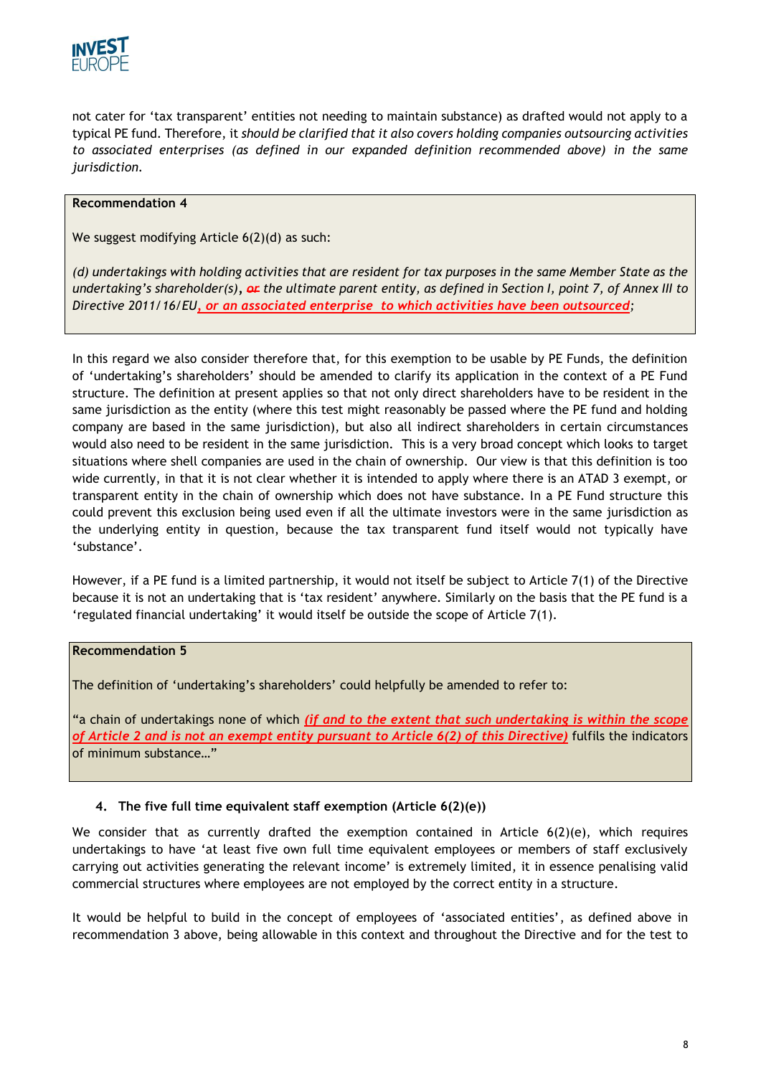

not cater for 'tax transparent' entities not needing to maintain substance) as drafted would not apply to a typical PE fund. Therefore, it *should be clarified that it also covers holding companies outsourcing activities to associated enterprises (as defined in our expanded definition recommended above) in the same jurisdiction.*

#### **Recommendation 4**

We suggest modifying Article 6(2)(d) as such:

*(d) undertakings with holding activities that are resident for tax purposes in the same Member State as the undertaking's shareholder(s), or the ultimate parent entity, as defined in Section I, point 7, of Annex III to Directive 2011/16/EU, or an associated enterprise to which activities have been outsourced;* 

In this regard we also consider therefore that, for this exemption to be usable by PE Funds, the definition of 'undertaking's shareholders' should be amended to clarify its application in the context of a PE Fund structure. The definition at present applies so that not only direct shareholders have to be resident in the same jurisdiction as the entity (where this test might reasonably be passed where the PE fund and holding company are based in the same jurisdiction), but also all indirect shareholders in certain circumstances would also need to be resident in the same jurisdiction. This is a very broad concept which looks to target situations where shell companies are used in the chain of ownership. Our view is that this definition is too wide currently, in that it is not clear whether it is intended to apply where there is an ATAD 3 exempt, or transparent entity in the chain of ownership which does not have substance. In a PE Fund structure this could prevent this exclusion being used even if all the ultimate investors were in the same jurisdiction as the underlying entity in question, because the tax transparent fund itself would not typically have 'substance'.

However, if a PE fund is a limited partnership, it would not itself be subject to Article 7(1) of the Directive because it is not an undertaking that is 'tax resident' anywhere. Similarly on the basis that the PE fund is a 'regulated financial undertaking' it would itself be outside the scope of Article 7(1).

### **Recommendation 5**

The definition of 'undertaking's shareholders' could helpfully be amended to refer to:

"a chain of undertakings none of which *(if and to the extent that such undertaking is within the scope of Article 2 and is not an exempt entity pursuant to Article 6(2) of this Directive)* fulfils the indicators of minimum substance…"

### **4. The five full time equivalent staff exemption (Article 6(2)(e))**

We consider that as currently drafted the exemption contained in Article 6(2)(e), which requires undertakings to have 'at least five own full time equivalent employees or members of staff exclusively carrying out activities generating the relevant income' is extremely limited, it in essence penalising valid commercial structures where employees are not employed by the correct entity in a structure.

It would be helpful to build in the concept of employees of 'associated entities', as defined above in recommendation 3 above, being allowable in this context and throughout the Directive and for the test to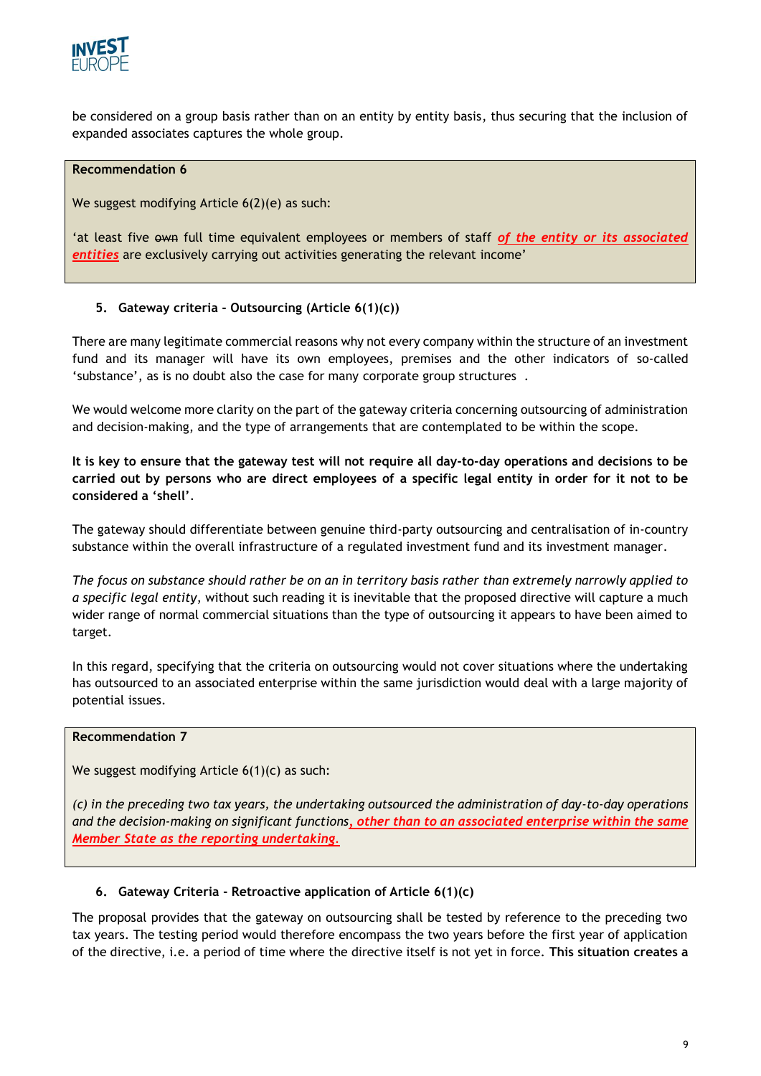

be considered on a group basis rather than on an entity by entity basis, thus securing that the inclusion of expanded associates captures the whole group.

#### **Recommendation 6**

We suggest modifying Article 6(2)(e) as such:

'at least five own full time equivalent employees or members of staff *of the entity or its associated entities* are exclusively carrying out activities generating the relevant income'

### **5. Gateway criteria - Outsourcing (Article 6(1)(c))**

There are many legitimate commercial reasons why not every company within the structure of an investment fund and its manager will have its own employees, premises and the other indicators of so-called 'substance', as is no doubt also the case for many corporate group structures .

We would welcome more clarity on the part of the gateway criteria concerning outsourcing of administration and decision-making, and the type of arrangements that are contemplated to be within the scope.

**It is key to ensure that the gateway test will not require all day-to-day operations and decisions to be carried out by persons who are direct employees of a specific legal entity in order for it not to be considered a 'shell'**.

The gateway should differentiate between genuine third-party outsourcing and centralisation of in-country substance within the overall infrastructure of a regulated investment fund and its investment manager.

*The focus on substance should rather be on an in territory basis rather than extremely narrowly applied to a specific legal entity*, without such reading it is inevitable that the proposed directive will capture a much wider range of normal commercial situations than the type of outsourcing it appears to have been aimed to target.

In this regard, specifying that the criteria on outsourcing would not cover situations where the undertaking has outsourced to an associated enterprise within the same jurisdiction would deal with a large majority of potential issues.

### **Recommendation 7**

We suggest modifying Article 6(1)(c) as such:

*(c) in the preceding two tax years, the undertaking outsourced the administration of day-to-day operations and the decision-making on significant functions, other than to an associated enterprise within the same Member State as the reporting undertaking.* 

### **6. Gateway Criteria - Retroactive application of Article 6(1)(c)**

The proposal provides that the gateway on outsourcing shall be tested by reference to the preceding two tax years. The testing period would therefore encompass the two years before the first year of application of the directive, i.e. a period of time where the directive itself is not yet in force. **This situation creates a**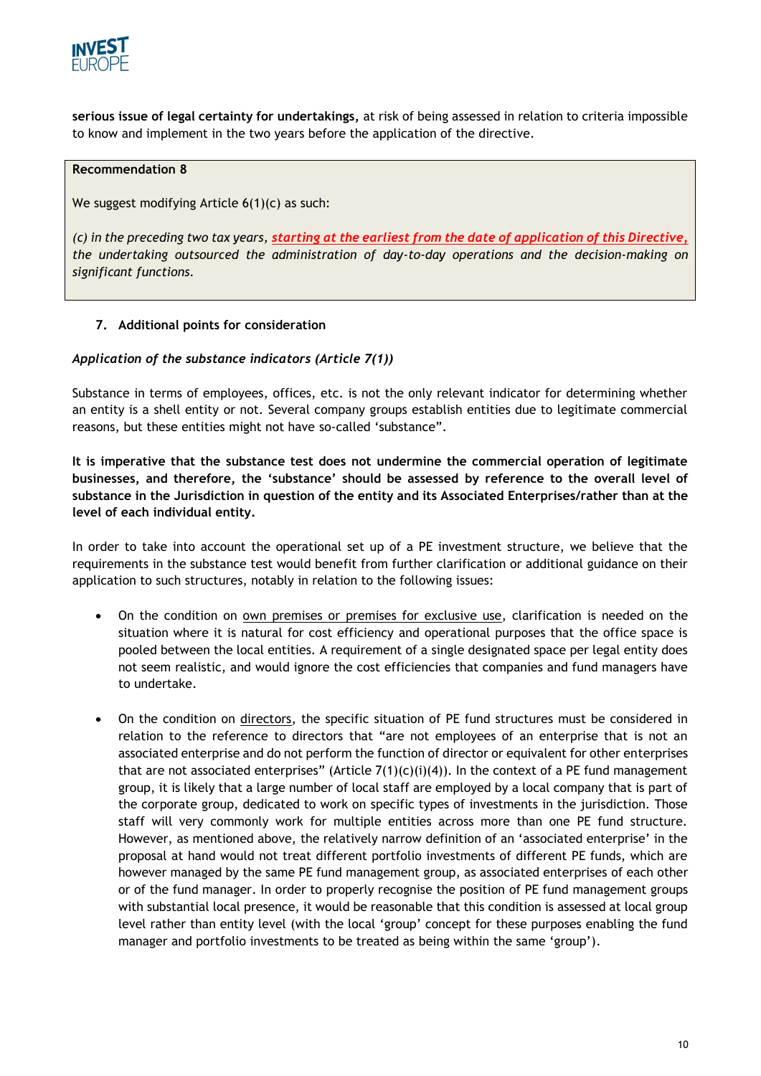

**serious issue of legal certainty for undertakings,** at risk of being assessed in relation to criteria impossible to know and implement in the two years before the application of the directive.

### **Recommendation 8**

We suggest modifying Article 6(1)(c) as such:

*(c) in the preceding two tax years, starting at the earliest from the date of application of this Directive, the undertaking outsourced the administration of day-to-day operations and the decision-making on significant functions.* 

### **7. Additional points for consideration**

### *Application of the substance indicators (Article 7(1))*

Substance in terms of employees, offices, etc. is not the only relevant indicator for determining whether an entity is a shell entity or not. Several company groups establish entities due to legitimate commercial reasons, but these entities might not have so-called 'substance".

**It is imperative that the substance test does not undermine the commercial operation of legitimate businesses, and therefore, the 'substance' should be assessed by reference to the overall level of substance in the Jurisdiction in question of the entity and its Associated Enterprises/rather than at the level of each individual entity.** 

In order to take into account the operational set up of a PE investment structure, we believe that the requirements in the substance test would benefit from further clarification or additional guidance on their application to such structures, notably in relation to the following issues:

- On the condition on own premises or premises for exclusive use, clarification is needed on the situation where it is natural for cost efficiency and operational purposes that the office space is pooled between the local entities. A requirement of a single designated space per legal entity does not seem realistic, and would ignore the cost efficiencies that companies and fund managers have to undertake.
- On the condition on directors, the specific situation of PE fund structures must be considered in relation to the reference to directors that "are not employees of an enterprise that is not an associated enterprise and do not perform the function of director or equivalent for other enterprises that are not associated enterprises" (Article  $7(1)(c)(i)(4)$ ). In the context of a PE fund management group, it is likely that a large number of local staff are employed by a local company that is part of the corporate group, dedicated to work on specific types of investments in the jurisdiction. Those staff will very commonly work for multiple entities across more than one PE fund structure. However, as mentioned above, the relatively narrow definition of an 'associated enterprise' in the proposal at hand would not treat different portfolio investments of different PE funds, which are however managed by the same PE fund management group, as associated enterprises of each other or of the fund manager. In order to properly recognise the position of PE fund management groups with substantial local presence, it would be reasonable that this condition is assessed at local group level rather than entity level (with the local 'group' concept for these purposes enabling the fund manager and portfolio investments to be treated as being within the same 'group').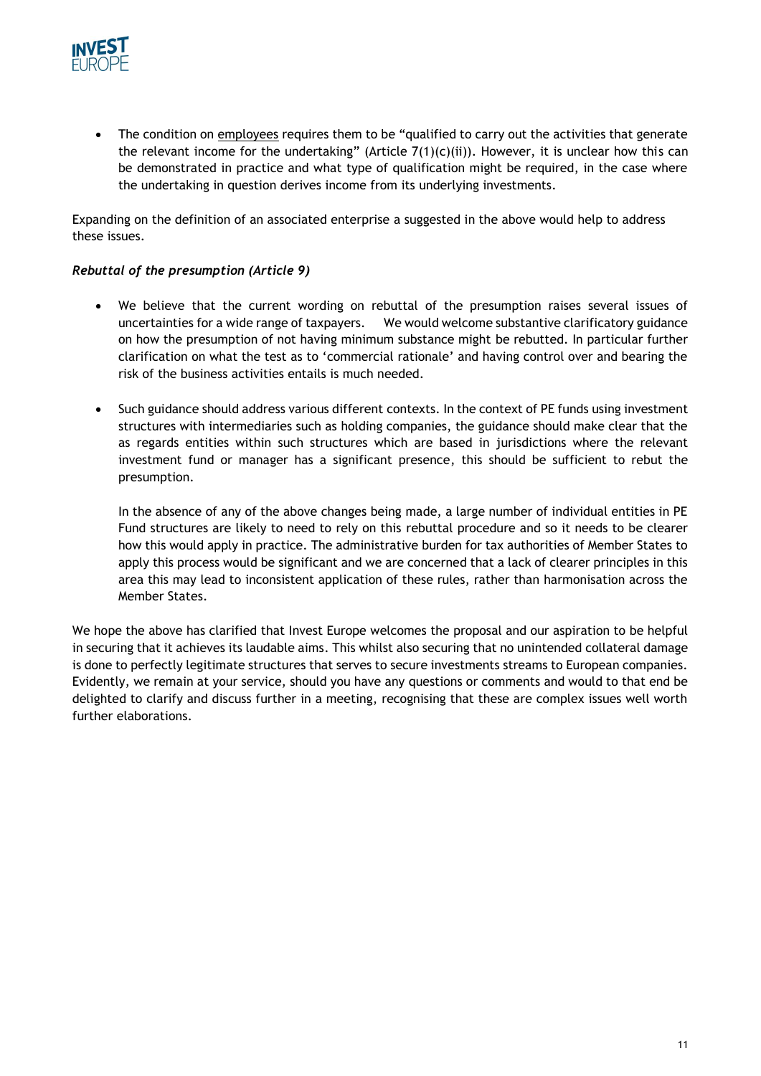

• The condition on employees requires them to be "qualified to carry out the activities that generate the relevant income for the undertaking" (Article  $7(1)(c)(ii)$ ). However, it is unclear how this can be demonstrated in practice and what type of qualification might be required, in the case where the undertaking in question derives income from its underlying investments.

Expanding on the definition of an associated enterprise a suggested in the above would help to address these issues.

### *Rebuttal of the presumption (Article 9)*

- We believe that the current wording on rebuttal of the presumption raises several issues of uncertainties for a wide range of taxpayers. We would welcome substantive clarificatory guidance on how the presumption of not having minimum substance might be rebutted. In particular further clarification on what the test as to 'commercial rationale' and having control over and bearing the risk of the business activities entails is much needed.
- Such guidance should address various different contexts. In the context of PE funds using investment structures with intermediaries such as holding companies, the guidance should make clear that the as regards entities within such structures which are based in jurisdictions where the relevant investment fund or manager has a significant presence, this should be sufficient to rebut the presumption.

In the absence of any of the above changes being made, a large number of individual entities in PE Fund structures are likely to need to rely on this rebuttal procedure and so it needs to be clearer how this would apply in practice. The administrative burden for tax authorities of Member States to apply this process would be significant and we are concerned that a lack of clearer principles in this area this may lead to inconsistent application of these rules, rather than harmonisation across the Member States.

We hope the above has clarified that Invest Europe welcomes the proposal and our aspiration to be helpful in securing that it achieves its laudable aims. This whilst also securing that no unintended collateral damage is done to perfectly legitimate structures that serves to secure investments streams to European companies. Evidently, we remain at your service, should you have any questions or comments and would to that end be delighted to clarify and discuss further in a meeting, recognising that these are complex issues well worth further elaborations.